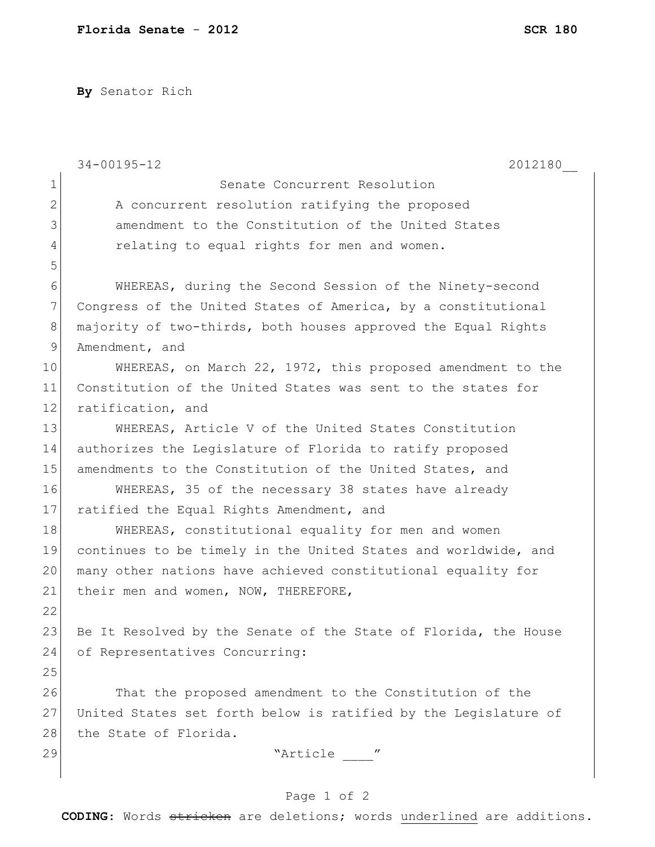**By** Senator Rich

|              | $34 - 00195 - 12$<br>2012180                                    |
|--------------|-----------------------------------------------------------------|
| $\mathbf{1}$ | Senate Concurrent Resolution                                    |
| $\mathbf{2}$ | A concurrent resolution ratifying the proposed                  |
| 3            | amendment to the Constitution of the United States              |
| 4            | relating to equal rights for men and women.                     |
| 5            |                                                                 |
| 6            | WHEREAS, during the Second Session of the Ninety-second         |
| 7            | Congress of the United States of America, by a constitutional   |
| $\,8\,$      | majority of two-thirds, both houses approved the Equal Rights   |
| $\mathsf 9$  | Amendment, and                                                  |
| 10           | WHEREAS, on March 22, 1972, this proposed amendment to the      |
| 11           | Constitution of the United States was sent to the states for    |
| 12           | ratification, and                                               |
| 13           | WHEREAS, Article V of the United States Constitution            |
| 14           | authorizes the Legislature of Florida to ratify proposed        |
| 15           | amendments to the Constitution of the United States, and        |
| 16           | WHEREAS, 35 of the necessary 38 states have already             |
| 17           | ratified the Equal Rights Amendment, and                        |
| 18           | WHEREAS, constitutional equality for men and women              |
| 19           | continues to be timely in the United States and worldwide, and  |
| 20           | many other nations have achieved constitutional equality for    |
| 21           | their men and women, NOW, THEREFORE,                            |
| 22           |                                                                 |
| 23           | Be It Resolved by the Senate of the State of Florida, the House |
| 24           | of Representatives Concurring:                                  |
| 25           |                                                                 |
| 26           | That the proposed amendment to the Constitution of the          |
| 27           | United States set forth below is ratified by the Legislature of |
| 28           | the State of Florida.                                           |
| 29           | "Article ____"                                                  |
|              |                                                                 |

## Page 1 of 2

**CODING**: Words stricken are deletions; words underlined are additions.